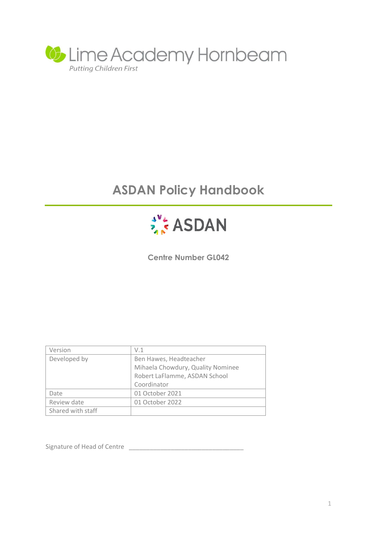

# **ASDAN Policy Handbook**



**Centre Number GL042**

| Version           | V.1                               |  |
|-------------------|-----------------------------------|--|
| Developed by      | Ben Hawes, Headteacher            |  |
|                   | Mihaela Chowdury, Quality Nominee |  |
|                   | Robert LaFlamme, ASDAN School     |  |
|                   | Coordinator                       |  |
| Date              | 01 October 2021                   |  |
| Review date       | 01 October 2022                   |  |
| Shared with staff |                                   |  |

Signature of Head of Centre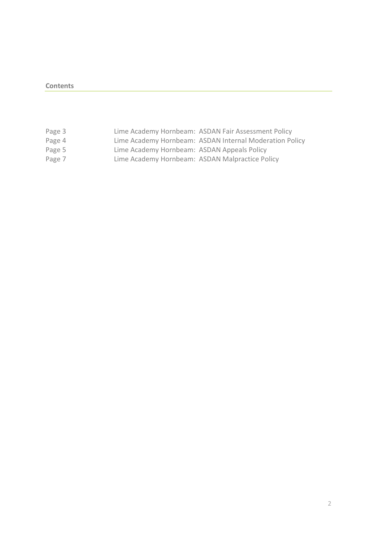### **Contents**

| Page 3 |                                                 | Lime Academy Hornbeam: ASDAN Fair Assessment Policy     |
|--------|-------------------------------------------------|---------------------------------------------------------|
| Page 4 |                                                 | Lime Academy Hornbeam: ASDAN Internal Moderation Policy |
| Page 5 | Lime Academy Hornbeam: ASDAN Appeals Policy     |                                                         |
| Page 7 | Lime Academy Hornbeam: ASDAN Malpractice Policy |                                                         |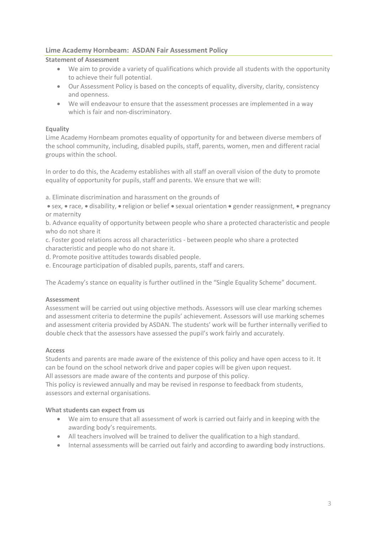# **Lime Academy Hornbeam: ASDAN Fair Assessment Policy**

# **Statement of Assessment**

- We aim to provide a variety of qualifications which provide all students with the opportunity to achieve their full potential.
- Our Assessment Policy is based on the concepts of equality, diversity, clarity, consistency and openness.
- We will endeavour to ensure that the assessment processes are implemented in a way which is fair and non-discriminatory.

# **Equality**

Lime Academy Hornbeam promotes equality of opportunity for and between diverse members of the school community, including, disabled pupils, staff, parents, women, men and different racial groups within the school.

In order to do this, the Academy establishes with all staff an overall vision of the duty to promote equality of opportunity for pupils, staff and parents. We ensure that we will:

a. Eliminate discrimination and harassment on the grounds of

• sex, • race, • disability, • religion or belief • sexual orientation • gender reassignment, • pregnancy or maternity

b. Advance equality of opportunity between people who share a protected characteristic and people who do not share it

c. Foster good relations across all characteristics - between people who share a protected characteristic and people who do not share it.

d. Promote positive attitudes towards disabled people.

e. Encourage participation of disabled pupils, parents, staff and carers.

The Academy's stance on equality is further outlined in the "Single Equality Scheme" document.

# **Assessment**

Assessment will be carried out using objective methods. Assessors will use clear marking schemes and assessment criteria to determine the pupils' achievement. Assessors will use marking schemes and assessment criteria provided by ASDAN. The students' work will be further internally verified to double check that the assessors have assessed the pupil's work fairly and accurately.

#### **Access**

Students and parents are made aware of the existence of this policy and have open access to it. It can be found on the school network drive and paper copies will be given upon request.

All assessors are made aware of the contents and purpose of this policy.

This policy is reviewed annually and may be revised in response to feedback from students, assessors and external organisations.

#### **What students can expect from us**

- We aim to ensure that all assessment of work is carried out fairly and in keeping with the awarding body's requirements.
- All teachers involved will be trained to deliver the qualification to a high standard.
- Internal assessments will be carried out fairly and according to awarding body instructions.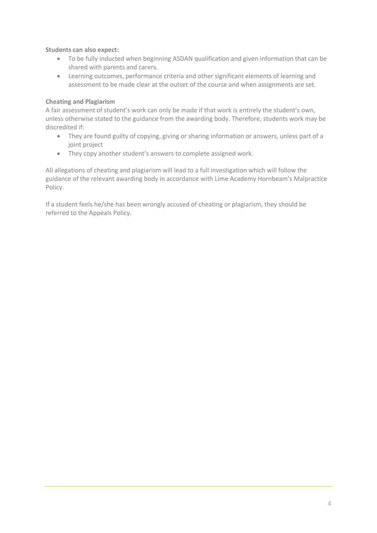**Students can also expect:**

- To be fully inducted when beginning ASDAN qualification and given information that can be shared with parents and carers.
- Learning outcomes, performance criteria and other significant elements of learning and assessment to be made clear at the outset of the course and when assignments are set.

## **Cheating and Plagiarism**

A fair assessment of student's work can only be made if that work is entirely the student's own, unless otherwise stated to the guidance from the awarding body. Therefore, students work may be discredited if:

- They are found guilty of copying, giving or sharing information or answers, unless part of a joint project
- They copy another student's answers to complete assigned work.

All allegations of cheating and plagiarism will lead to a full investigation which will follow the guidance of the relevant awarding body in accordance with Lime Academy Hornbeam's Malpractice Policy.

If a student feels he/she has been wrongly accused of cheating or plagiarism, they should be referred to the Appeals Policy.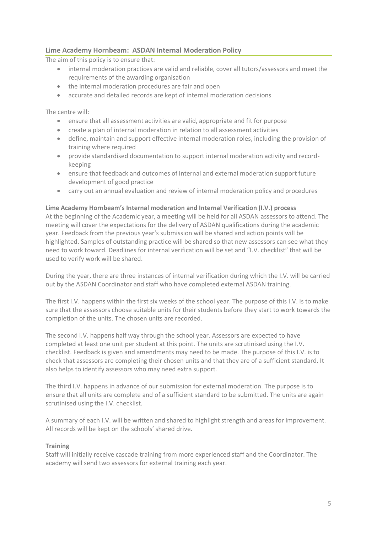# **Lime Academy Hornbeam: ASDAN Internal Moderation Policy**

The aim of this policy is to ensure that:

- internal moderation practices are valid and reliable, cover all tutors/assessors and meet the requirements of the awarding organisation
- the internal moderation procedures are fair and open
- accurate and detailed records are kept of internal moderation decisions

The centre will:

- ensure that all assessment activities are valid, appropriate and fit for purpose
- create a plan of internal moderation in relation to all assessment activities
- define, maintain and support effective internal moderation roles, including the provision of training where required
- provide standardised documentation to support internal moderation activity and recordkeeping
- ensure that feedback and outcomes of internal and external moderation support future development of good practice
- carry out an annual evaluation and review of internal moderation policy and procedures

#### **Lime Academy Hornbeam's Internal moderation and Internal Verification (I.V.) process**

At the beginning of the Academic year, a meeting will be held for all ASDAN assessors to attend. The meeting will cover the expectations for the delivery of ASDAN qualifications during the academic year. Feedback from the previous year's submission will be shared and action points will be highlighted. Samples of outstanding practice will be shared so that new assessors can see what they need to work toward. Deadlines for internal verification will be set and "I.V. checklist" that will be used to verify work will be shared.

During the year, there are three instances of internal verification during which the I.V. will be carried out by the ASDAN Coordinator and staff who have completed external ASDAN training.

The first I.V. happens within the first six weeks of the school year. The purpose of this I.V. is to make sure that the assessors choose suitable units for their students before they start to work towards the completion of the units. The chosen units are recorded.

The second I.V. happens half way through the school year. Assessors are expected to have completed at least one unit per student at this point. The units are scrutinised using the I.V. checklist. Feedback is given and amendments may need to be made. The purpose of this I.V. is to check that assessors are completing their chosen units and that they are of a sufficient standard. It also helps to identify assessors who may need extra support.

The third I.V. happens in advance of our submission for external moderation. The purpose is to ensure that all units are complete and of a sufficient standard to be submitted. The units are again scrutinised using the I.V. checklist.

A summary of each I.V. will be written and shared to highlight strength and areas for improvement. All records will be kept on the schools' shared drive.

# **Training**

Staff will initially receive cascade training from more experienced staff and the Coordinator. The academy will send two assessors for external training each year.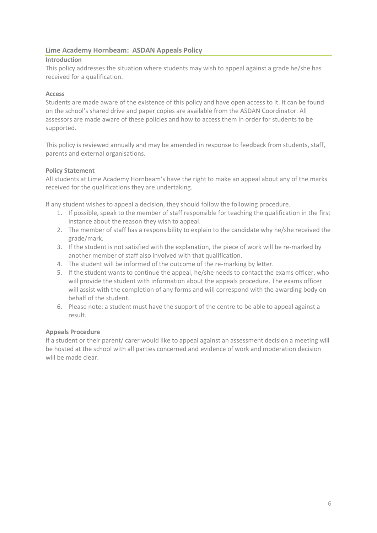# **Lime Academy Hornbeam: ASDAN Appeals Policy**

## **Introduction**

This policy addresses the situation where students may wish to appeal against a grade he/she has received for a qualification.

## **Access**

Students are made aware of the existence of this policy and have open access to it. It can be found on the school's shared drive and paper copies are available from the ASDAN Coordinator. All assessors are made aware of these policies and how to access them in order for students to be supported.

This policy is reviewed annually and may be amended in response to feedback from students, staff, parents and external organisations.

### **Policy Statement**

All students at Lime Academy Hornbeam's have the right to make an appeal about any of the marks received for the qualifications they are undertaking.

If any student wishes to appeal a decision, they should follow the following procedure.

- 1. If possible, speak to the member of staff responsible for teaching the qualification in the first instance about the reason they wish to appeal.
- 2. The member of staff has a responsibility to explain to the candidate why he/she received the grade/mark.
- 3. If the student is not satisfied with the explanation, the piece of work will be re-marked by another member of staff also involved with that qualification.
- 4. The student will be informed of the outcome of the re-marking by letter.
- 5. If the student wants to continue the appeal, he/she needs to contact the exams officer, who will provide the student with information about the appeals procedure. The exams officer will assist with the completion of any forms and will correspond with the awarding body on behalf of the student.
- 6. Please note: a student must have the support of the centre to be able to appeal against a result.

#### **Appeals Procedure**

If a student or their parent/ carer would like to appeal against an assessment decision a meeting will be hosted at the school with all parties concerned and evidence of work and moderation decision will be made clear.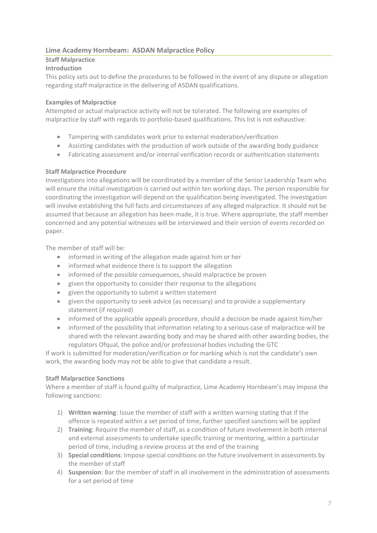# **Lime Academy Hornbeam: ASDAN Malpractice Policy**

# **Staff Malpractice**

# **Introduction**

This policy sets out to define the procedures to be followed in the event of any dispute or allegation regarding staff malpractice in the delivering of ASDAN qualifications.

# **Examples of Malpractice**

Attempted or actual malpractice activity will not be tolerated. The following are examples of malpractice by staff with regards to portfolio-based qualifications. This list is not exhaustive:

- Tampering with candidates work prior to external moderation/verification
- Assisting candidates with the production of work outside of the awarding body guidance
- Fabricating assessment and/or internal verification records or authentication statements

# **Staff Malpractice Procedure**

Investigations into allegations will be coordinated by a member of the Senior Leadership Team who will ensure the initial investigation is carried out within ten working days. The person responsible for coordinating the investigation will depend on the qualification being investigated. The investigation will involve establishing the full facts and circumstances of any alleged malpractice. It should not be assumed that because an allegation has been made, it is true. Where appropriate, the staff member concerned and any potential witnesses will be interviewed and their version of events recorded on paper.

The member of staff will be:

- informed in writing of the allegation made against him or her
- informed what evidence there is to support the allegation
- informed of the possible consequences, should malpractice be proven
- given the opportunity to consider their response to the allegations
- given the opportunity to submit a written statement
- given the opportunity to seek advice (as necessary) and to provide a supplementary statement (if required)
- informed of the applicable appeals procedure, should a decision be made against him/her
- informed of the possibility that information relating to a serious case of malpractice will be shared with the relevant awarding body and may be shared with other awarding bodies, the regulators Ofqual, the police and/or professional bodies including the GTC

If work is submitted for moderation/verification or for marking which is not the candidate's own work, the awarding body may not be able to give that candidate a result.

# **Staff Malpractice Sanctions**

Where a member of staff is found guilty of malpractice, Lime Academy Hornbeam's may impose the following sanctions:

- 1) **Written warning**: Issue the member of staff with a written warning stating that if the offence is repeated within a set period of time, further specified sanctions will be applied
- 2) **Training**: Require the member of staff, as a condition of future involvement in both internal and external assessments to undertake specific training or mentoring, within a particular period of time, including a review process at the end of the training
- 3) **Special conditions**: Impose special conditions on the future involvement in assessments by the member of staff
- 4) **Suspension**: Bar the member of staff in all involvement in the administration of assessments for a set period of time